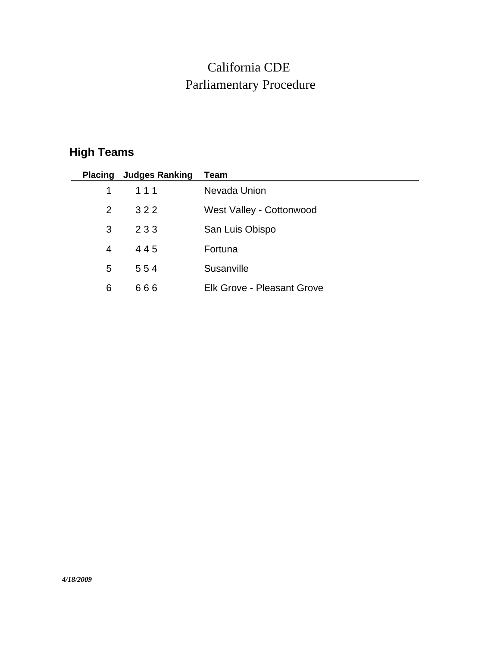## Parliamentary Procedure California CDE

## **High Teams**

|                | <b>Placing Judges Ranking</b> | Team                              |
|----------------|-------------------------------|-----------------------------------|
| $\mathbf 1$    | 111                           | Nevada Union                      |
| $\overline{2}$ | 322                           | West Valley - Cottonwood          |
| 3              | 233                           | San Luis Obispo                   |
| 4              | 445                           | Fortuna                           |
| 5.             | 554                           | Susanville                        |
| 6              | 666                           | <b>Elk Grove - Pleasant Grove</b> |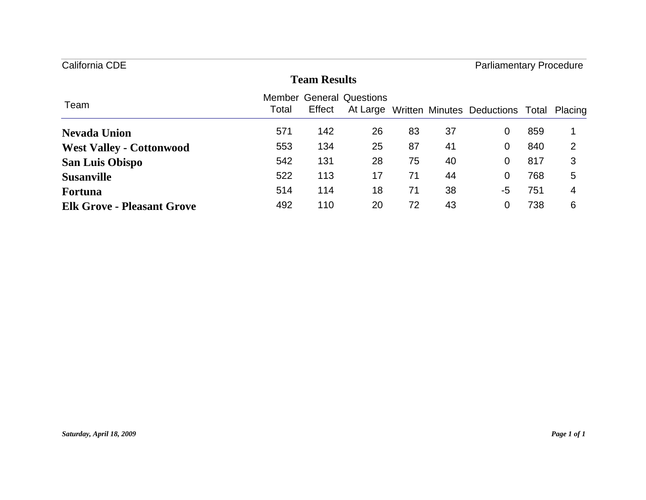| California CDE                    |                     |        |                                 |    | <b>Parliamentary Procedure</b> |                                                   |     |   |  |  |
|-----------------------------------|---------------------|--------|---------------------------------|----|--------------------------------|---------------------------------------------------|-----|---|--|--|
|                                   | <b>Team Results</b> |        |                                 |    |                                |                                                   |     |   |  |  |
| Team                              | Total               | Effect | <b>Member General Questions</b> |    |                                | At Large Written Minutes Deductions Total Placing |     |   |  |  |
| <b>Nevada Union</b>               | 571                 | 142    | 26                              | 83 | 37                             | 0                                                 | 859 |   |  |  |
| <b>West Valley - Cottonwood</b>   | 553                 | 134    | 25                              | 87 | 41                             | 0                                                 | 840 | 2 |  |  |
| <b>San Luis Obispo</b>            | 542                 | 131    | 28                              | 75 | 40                             | 0                                                 | 817 | 3 |  |  |
| <b>Susanville</b>                 | 522                 | 113    | 17                              | 71 | 44                             | 0                                                 | 768 | 5 |  |  |
| <b>Fortuna</b>                    | 514                 | 114    | 18                              | 71 | 38                             | -5                                                | 751 | 4 |  |  |
| <b>Elk Grove - Pleasant Grove</b> | 492                 | 110    | 20                              | 72 | 43                             | 0                                                 | 738 | 6 |  |  |